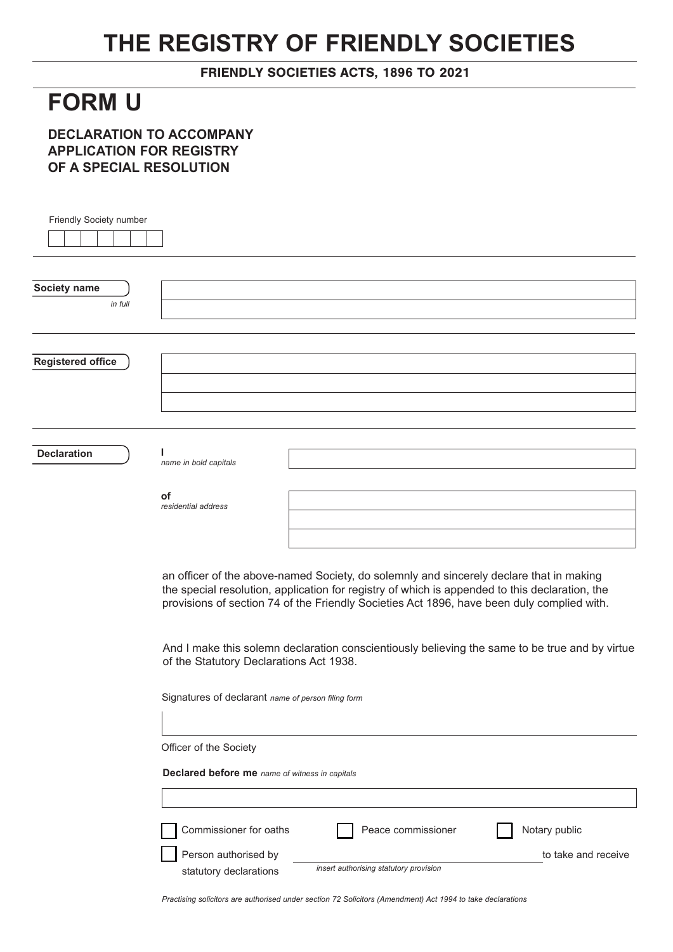## **THE REGISTRY OF FRIENDLY SOCIETIES**

FRIENDLY SOCIETIES ACTS, 1896 TO 2021

## **FORM U**

**DECLARATION TO ACCOMPANY APPLICATION FOR REGISTRY OF A SPECIAL RESOLUTION**

| Society name<br>in full<br><b>Declaration</b><br>name in bold capitals<br>οf<br>residential address<br>an officer of the above-named Society, do solemnly and sincerely declare that in making<br>the special resolution, application for registry of which is appended to this declaration, the<br>provisions of section 74 of the Friendly Societies Act 1896, have been duly complied with.<br>And I make this solemn declaration conscientiously believing the same to be true and by virtue<br>of the Statutory Declarations Act 1938. | Friendly Society number  |  |
|---------------------------------------------------------------------------------------------------------------------------------------------------------------------------------------------------------------------------------------------------------------------------------------------------------------------------------------------------------------------------------------------------------------------------------------------------------------------------------------------------------------------------------------------|--------------------------|--|
|                                                                                                                                                                                                                                                                                                                                                                                                                                                                                                                                             |                          |  |
|                                                                                                                                                                                                                                                                                                                                                                                                                                                                                                                                             |                          |  |
|                                                                                                                                                                                                                                                                                                                                                                                                                                                                                                                                             |                          |  |
|                                                                                                                                                                                                                                                                                                                                                                                                                                                                                                                                             |                          |  |
|                                                                                                                                                                                                                                                                                                                                                                                                                                                                                                                                             |                          |  |
|                                                                                                                                                                                                                                                                                                                                                                                                                                                                                                                                             |                          |  |
|                                                                                                                                                                                                                                                                                                                                                                                                                                                                                                                                             | <b>Registered office</b> |  |
|                                                                                                                                                                                                                                                                                                                                                                                                                                                                                                                                             |                          |  |
|                                                                                                                                                                                                                                                                                                                                                                                                                                                                                                                                             |                          |  |
|                                                                                                                                                                                                                                                                                                                                                                                                                                                                                                                                             |                          |  |
|                                                                                                                                                                                                                                                                                                                                                                                                                                                                                                                                             |                          |  |
|                                                                                                                                                                                                                                                                                                                                                                                                                                                                                                                                             |                          |  |
|                                                                                                                                                                                                                                                                                                                                                                                                                                                                                                                                             |                          |  |
|                                                                                                                                                                                                                                                                                                                                                                                                                                                                                                                                             |                          |  |
|                                                                                                                                                                                                                                                                                                                                                                                                                                                                                                                                             |                          |  |
|                                                                                                                                                                                                                                                                                                                                                                                                                                                                                                                                             |                          |  |
|                                                                                                                                                                                                                                                                                                                                                                                                                                                                                                                                             |                          |  |
|                                                                                                                                                                                                                                                                                                                                                                                                                                                                                                                                             |                          |  |
|                                                                                                                                                                                                                                                                                                                                                                                                                                                                                                                                             |                          |  |
|                                                                                                                                                                                                                                                                                                                                                                                                                                                                                                                                             |                          |  |
|                                                                                                                                                                                                                                                                                                                                                                                                                                                                                                                                             |                          |  |
| Signatures of declarant name of person filing form                                                                                                                                                                                                                                                                                                                                                                                                                                                                                          |                          |  |
|                                                                                                                                                                                                                                                                                                                                                                                                                                                                                                                                             |                          |  |
|                                                                                                                                                                                                                                                                                                                                                                                                                                                                                                                                             |                          |  |
| Officer of the Society                                                                                                                                                                                                                                                                                                                                                                                                                                                                                                                      |                          |  |
| Declared before me name of witness in capitals                                                                                                                                                                                                                                                                                                                                                                                                                                                                                              |                          |  |
|                                                                                                                                                                                                                                                                                                                                                                                                                                                                                                                                             |                          |  |
| Commissioner for oaths<br>Notary public<br>Peace commissioner                                                                                                                                                                                                                                                                                                                                                                                                                                                                               |                          |  |
| Person authorised by<br>to take and receive                                                                                                                                                                                                                                                                                                                                                                                                                                                                                                 |                          |  |
| insert authorising statutory provision<br>statutory declarations                                                                                                                                                                                                                                                                                                                                                                                                                                                                            |                          |  |

*Practising solicitors are authorised under section 72 Solicitors (Amendment) Act 1994 to take declarations*